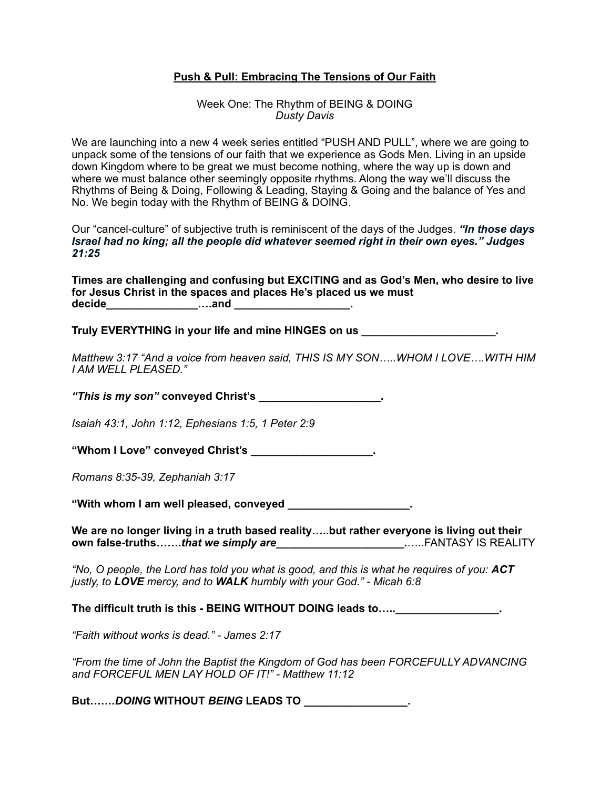# **Push & Pull: Embracing The Tensions of Our Faith**

### Week One: The Rhythm of BEING & DOING *Dusty Davis*

We are launching into a new 4 week series entitled "PUSH AND PULL", where we are going to unpack some of the tensions of our faith that we experience as Gods Men. Living in an upside down Kingdom where to be great we must become nothing, where the way up is down and where we must balance other seemingly opposite rhythms. Along the way we'll discuss the Rhythms of Being & Doing, Following & Leading, Staying & Going and the balance of Yes and No. We begin today with the Rhythm of BEING & DOING.

Our "cancel-culture" of subjective truth is reminiscent of the days of the Judges. *"In those days Israel had no king; all the people did whatever seemed right in their own eyes." Judges 21:25*

**Times are challenging and confusing but EXCITING and as God's Men, who desire to live for Jesus Christ in the spaces and places He's placed us we must decide\_\_\_\_\_\_\_\_\_\_\_\_\_\_\_….and \_\_\_\_\_\_\_\_\_\_\_\_\_\_\_\_\_\_\_.** 

**Truly EVERYTHING in your life and mine HINGES on us \_\_\_\_\_\_\_\_\_\_\_\_\_\_\_\_\_\_\_\_\_\_.**

*Matthew 3:17 "And a voice from heaven said, THIS IS MY SON…..WHOM I LOVE….WITH HIM I AM WELL PLEASED."*

*"This is my son"* **conveyed Christ's \_\_\_\_\_\_\_\_\_\_\_\_\_\_\_\_\_\_\_\_.**

*Isaiah 43:1, John 1:12, Ephesians 1:5, 1 Peter 2:9*

**"Whom I Love" conveyed Christ's \_\_\_\_\_\_\_\_\_\_\_\_\_\_\_\_\_\_\_\_.**

*Romans 8:35-39, Zephaniah 3:17*

**"With whom I am well pleased, conveyed \_\_\_\_\_\_\_\_\_\_\_\_\_\_\_\_\_\_\_\_.** 

**We are no longer living in a truth based reality…..but rather everyone is living out their own false-truths…….***that we simply are\_\_\_\_\_\_\_\_\_\_\_\_\_\_\_\_\_\_\_\_\_.*…..FANTASY IS REALITY

*"No, O people, the Lord has told you what is good, and this is what he requires of you: ACT justly, to LOVE mercy, and to WALK humbly with your God." - Micah 6:8*

The difficult truth is this - BEING WITHOUT DOING leads to.....

*"Faith without works is dead." - James 2:17* 

*"From the time of John the Baptist the Kingdom of God has been FORCEFULLY ADVANCING and FORCEFUL MEN LAY HOLD OF IT!" - Matthew 11:12*

**But……***.DOING* **WITHOUT** *BEING* **LEADS TO \_\_\_\_\_\_\_\_\_\_\_\_\_\_\_\_\_.**